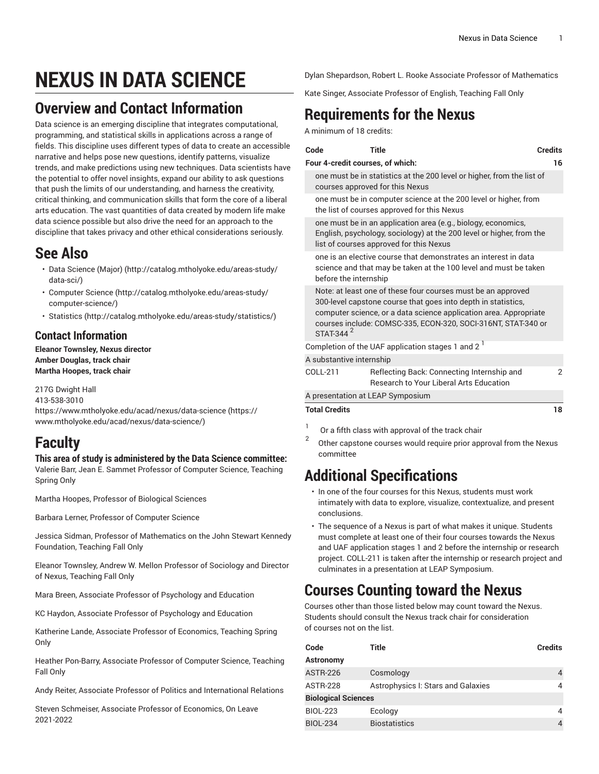# **NEXUS IN DATA SCIENCE**

#### **Overview and Contact Information**

Data science is an emerging discipline that integrates computational, programming, and statistical skills in applications across a range of fields. This discipline uses different types of data to create an access narrative and helps pose new questions, identify patterns, visualize trends, and make predictions using new techniques. Data scientists h the potential to offer novel insights, expand our ability to ask question that push the limits of our understanding, and harness the creativity, critical thinking, and communication skills that form the core of a libe arts education. The vast quantities of data created by modern life mal data science possible but also drive the need for an approach to the discipline that takes privacy and other ethical considerations seriousl

#### **See Also**

- [Data Science \(Major\)](http://catalog.mtholyoke.edu/areas-study/data-sci/) ([http://catalog.mtholyoke.edu/areas-study/](http://catalog.mtholyoke.edu/areas-study/data-sci/) [data-sci/](http://catalog.mtholyoke.edu/areas-study/data-sci/))
- [Computer Science \(http://catalog.mtholyoke.edu/areas-study/](http://catalog.mtholyoke.edu/areas-study/computer-science/) [computer-science/\)](http://catalog.mtholyoke.edu/areas-study/computer-science/)
- [Statistics](http://catalog.mtholyoke.edu/areas-study/statistics/) ([http://catalog.mtholyoke.edu/areas-study/statistics/\)](http://catalog.mtholyoke.edu/areas-study/statistics/)

#### **Contact Information**

**Eleanor Townsley, Nexus director Amber Douglas, track chair Martha Hoopes, track chair**

217G Dwight Hall 413-538-3010 [https://www.mtholyoke.edu/acad/nexus/data-science](https://www.mtholyoke.edu/acad/nexus/data-science/) ([https://](https://www.mtholyoke.edu/acad/nexus/data-science/) [www.mtholyoke.edu/acad/nexus/data-science/](https://www.mtholyoke.edu/acad/nexus/data-science/))

## **Faculty**

#### **This area of study is administered by the Data Science committee:**

Valerie Barr, Jean E. Sammet Professor of Computer Science, Teaching Spring Only

Martha Hoopes, Professor of Biological Sciences

Barbara Lerner, Professor of Computer Science

Jessica Sidman, Professor of Mathematics on the John Stewart Kennedy Foundation, Teaching Fall Only

Eleanor Townsley, Andrew W. Mellon Professor of Sociology and Director of Nexus, Teaching Fall Only

Mara Breen, Associate Professor of Psychology and Education

KC Haydon, Associate Professor of Psychology and Education

Katherine Lande, Associate Professor of Economics, Teaching Spring Only

Heather Pon-Barry, Associate Professor of Computer Science, Teaching Fall Only

Andy Reiter, Associate Professor of Politics and International Relations

Steven Schmeiser, Associate Professor of Economics, On Leave 2021-2022

Dylan Shepardson, Robert L. Rooke Associate Professor of Mathematics

Kate Singer, Associate Professor of English, Teaching Fall Only

## **Requirements for the Nexus**

A minimum of 18 credits:

|     | Code                                                                                                                                                                                                                                                                                         | <b>Title</b>                                                                                                                                                                     | <b>Credits</b> |  |  |
|-----|----------------------------------------------------------------------------------------------------------------------------------------------------------------------------------------------------------------------------------------------------------------------------------------------|----------------------------------------------------------------------------------------------------------------------------------------------------------------------------------|----------------|--|--|
| ave | Four 4-credit courses, of which:                                                                                                                                                                                                                                                             |                                                                                                                                                                                  |                |  |  |
|     | one must be in statistics at the 200 level or higher, from the list of<br>courses approved for this Nexus                                                                                                                                                                                    |                                                                                                                                                                                  |                |  |  |
|     |                                                                                                                                                                                                                                                                                              | one must be in computer science at the 200 level or higher, from<br>the list of courses approved for this Nexus                                                                  |                |  |  |
|     |                                                                                                                                                                                                                                                                                              | one must be in an application area (e.g., biology, economics,<br>English, psychology, sociology) at the 200 level or higher, from the<br>list of courses approved for this Nexus |                |  |  |
|     |                                                                                                                                                                                                                                                                                              | one is an elective course that demonstrates an interest in data<br>science and that may be taken at the 100 level and must be taken<br>before the internship                     |                |  |  |
|     | Note: at least one of these four courses must be an approved<br>300-level capstone course that goes into depth in statistics,<br>computer science, or a data science application area. Appropriate<br>courses include: COMSC-335, ECON-320, SOCI-316NT, STAT-340 or<br>STAT-344 <sup>2</sup> |                                                                                                                                                                                  |                |  |  |
|     | Completion of the UAF application stages 1 and 2 $1$                                                                                                                                                                                                                                         |                                                                                                                                                                                  |                |  |  |
|     | A substantive internship                                                                                                                                                                                                                                                                     |                                                                                                                                                                                  |                |  |  |
|     | COLL-211                                                                                                                                                                                                                                                                                     | Reflecting Back: Connecting Internship and<br><b>Research to Your Liberal Arts Education</b>                                                                                     | 2              |  |  |
|     | A presentation at LEAP Symposium                                                                                                                                                                                                                                                             |                                                                                                                                                                                  |                |  |  |
|     | <b>Total Credits</b>                                                                                                                                                                                                                                                                         |                                                                                                                                                                                  | 18             |  |  |

- 1 Or a fifth class with approval of the track chair
- 2 Other capstone courses would require prior approval from the Nexus committee

## **Additional Specifications**

- In one of the four courses for this Nexus, students must work intimately with data to explore, visualize, contextualize, and present conclusions.
- The sequence of a Nexus is part of what makes it unique. Students must complete at least one of their four courses towards the Nexus and UAF application stages 1 and 2 before the internship or research project. [COLL-211](/search/?P=COLL-211) is taken after the internship or research project and culminates in a presentation at LEAP Symposium.

#### **Courses Counting toward the Nexus**

Courses other than those listed below may count toward the Nexus. Students should consult the Nexus track chair for consideration of courses not on the list.

| Code                       | Title                              | <b>Credits</b> |  |  |  |
|----------------------------|------------------------------------|----------------|--|--|--|
| Astronomy                  |                                    |                |  |  |  |
| <b>ASTR-226</b>            | Cosmology                          | 4              |  |  |  |
| <b>ASTR-228</b>            | Astrophysics I: Stars and Galaxies |                |  |  |  |
| <b>Biological Sciences</b> |                                    |                |  |  |  |
| <b>BIOL-223</b>            | Ecology                            | 4              |  |  |  |
| <b>BIOL-234</b>            | <b>Biostatistics</b>               |                |  |  |  |